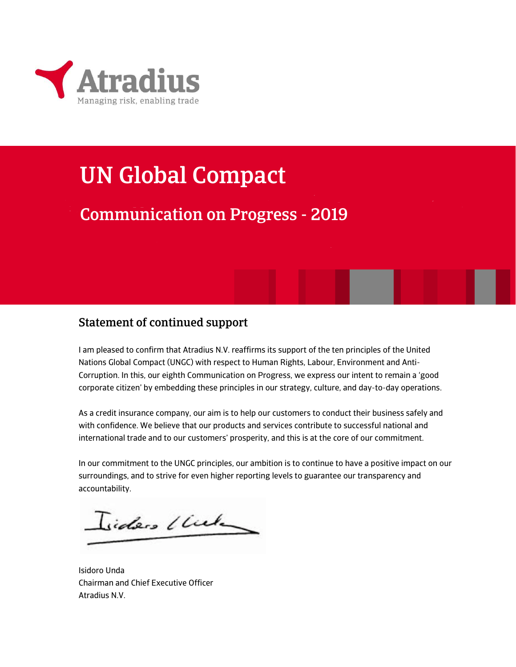

## UN Global Compact

## Communication on Progress - 2019

### Statement of continued support

I am pleased to confirm that Atradius N.V. reaffirms its support of the ten principles of the United Nations Global Compact (UNGC) with respect to Human Rights, Labour, Environment and Anti-Corruption. In this, our eighth Communication on Progress, we express our intent to remain a 'good corporate citizen' by embedding these principles in our strategy, culture, and day-to-day operations.

As a credit insurance company, our aim is to help our customers to conduct their business safely and with confidence. We believe that our products and services contribute to successful national and international trade and to our customers' prosperity, and this is at the core of our commitment.

In our commitment to the UNGC principles, our ambition is to continue to have a positive impact on our surroundings, and to strive for even higher reporting levels to guarantee our transparency and accountability.

Isiders Under

Isidoro Unda Chairman and Chief Executive Officer Atradius N.V.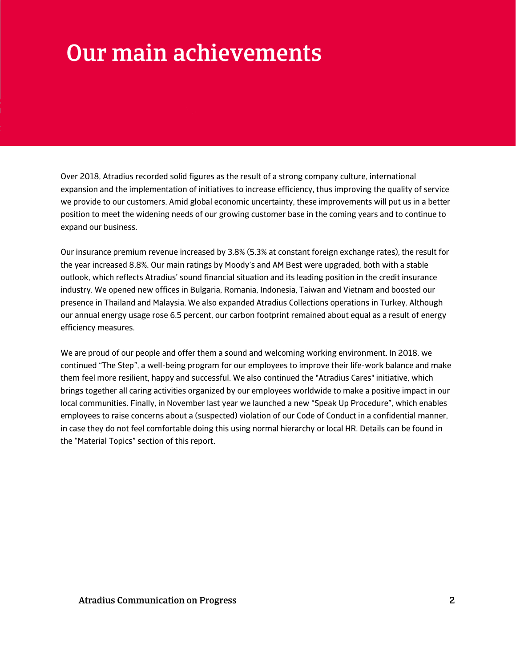## Our main achievements

Over 2018, Atradius recorded solid figures as the result of a strong company culture, international expansion and the implementation of initiatives to increase efficiency, thus improving the quality of service we provide to our customers. Amid global economic uncertainty, these improvements will put us in a better position to meet the widening needs of our growing customer base in the coming years and to continue to expand our business.

Our insurance premium revenue increased by 3.8% (5.3% at constant foreign exchange rates), the result for the year increased 8.8%. Our main ratings by Moody's and AM Best were upgraded, both with a stable outlook, which reflects Atradius' sound financial situation and its leading position in the credit insurance industry. We opened new offices in Bulgaria, Romania, Indonesia, Taiwan and Vietnam and boosted our presence in Thailand and Malaysia. We also expanded Atradius Collections operations in Turkey. Although our annual energy usage rose 6.5 percent, our carbon footprint remained about equal as a result of energy efficiency measures.

We are proud of our people and offer them a sound and welcoming working environment. In 2018, we continued "The Step", a well-being program for our employees to improve their life-work balance and make them feel more resilient, happy and successful. We also continued the "Atradius Cares" initiative, which brings together all caring activities organized by our employees worldwide to make a positive impact in our local communities. Finally, in November last year we launched a new "Speak Up Procedure", which enables employees to raise concerns about a (suspected) violation of our Code of Conduct in a confidential manner, in case they do not feel comfortable doing this using normal hierarchy or local HR. Details can be found in the "Material Topics" section of this report.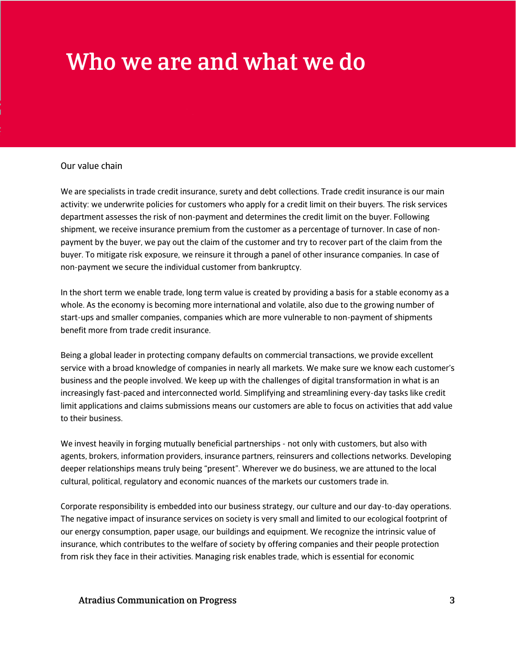## Who we are and what we do

#### Our value chain

We are specialists in trade credit insurance, surety and debt collections. Trade credit insurance is our main activity: we underwrite policies for customers who apply for a credit limit on their buyers. The risk services department assesses the risk of non-payment and determines the credit limit on the buyer. Following shipment, we receive insurance premium from the customer as a percentage of turnover. In case of nonpayment by the buyer, we pay out the claim of the customer and try to recover part of the claim from the buyer. To mitigate risk exposure, we reinsure it through a panel of other insurance companies. In case of non-payment we secure the individual customer from bankruptcy.

In the short term we enable trade, long term value is created by providing a basis for a stable economy as a whole. As the economy is becoming more international and volatile, also due to the growing number of start-ups and smaller companies, companies which are more vulnerable to non-payment of shipments benefit more from trade credit insurance.

Being a global leader in protecting company defaults on commercial transactions, we provide excellent service with a broad knowledge of companies in nearly all markets. We make sure we know each customer's business and the people involved. We keep up with the challenges of digital transformation in what is an increasingly fast-paced and interconnected world. Simplifying and streamlining every-day tasks like credit limit applications and claims submissions means our customers are able to focus on activities that add value to their business.

We invest heavily in forging mutually beneficial partnerships - not only with customers, but also with agents, brokers, information providers, insurance partners, reinsurers and collections networks. Developing deeper relationships means truly being "present". Wherever we do business, we are attuned to the local cultural, political, regulatory and economic nuances of the markets our customers trade in.

Corporate responsibility is embedded into our business strategy, our culture and our day-to-day operations. The negative impact of insurance services on society is very small and limited to our ecological footprint of our energy consumption, paper usage, our buildings and equipment. We recognize the intrinsic value of insurance, which contributes to the welfare of society by offering companies and their people protection from risk they face in their activities. Managing risk enables trade, which is essential for economic

#### Atradius Communication on Progress 3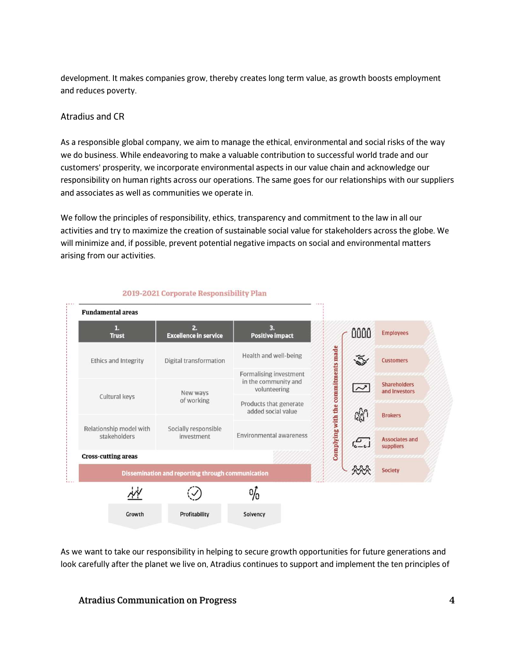development. It makes companies grow, thereby creates long term value, as growth boosts employment and reduces poverty.

#### Atradius and CR

As a responsible global company, we aim to manage the ethical, environmental and social risks of the way we do business. While endeavoring to make a valuable contribution to successful world trade and our customers' prosperity, we incorporate environmental aspects in our value chain and acknowledge our responsibility on human rights across our operations. The same goes for our relationships with our suppliers and associates as well as communities we operate in.

We follow the principles of responsibility, ethics, transparency and commitment to the law in all our activities and try to maximize the creation of sustainable social value for stakeholders across the globe. We will minimize and, if possible, prevent potential negative impacts on social and environmental matters arising from our activities.



#### 2019-2021 Corporate Responsibility Plan

As we want to take our responsibility in helping to secure growth opportunities for future generations and look carefully after the planet we live on, Atradius continues to support and implement the ten principles of

Atradius Communication on Progress 4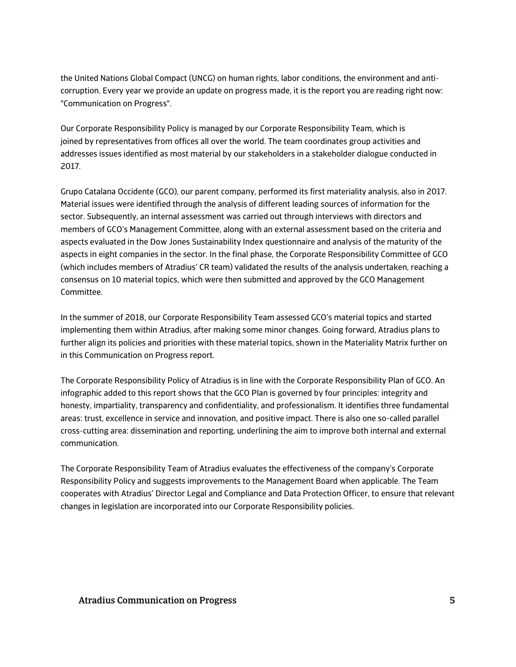the United Nations Global Compact (UNCG) on human rights, labor conditions, the environment and anticorruption. Every year we provide an update on progress made, it is the report you are reading right now: "Communication on Progress".

Our Corporate Responsibility Policy is managed by our Corporate Responsibility Team, which is joined by representatives from offices all over the world. The team coordinates group activities and addresses issues identified as most material by our stakeholders in a stakeholder dialogue conducted in 2017.

Grupo Catalana Occidente (GCO), our parent company, performed its first materiality analysis, also in 2017. Material issues were identified through the analysis of different leading sources of information for the sector. Subsequently, an internal assessment was carried out through interviews with directors and members of GCO's Management Committee, along with an external assessment based on the criteria and aspects evaluated in the Dow Jones Sustainability Index questionnaire and analysis of the maturity of the aspects in eight companies in the sector. In the final phase, the Corporate Responsibility Committee of GCO (which includes members of Atradius' CR team) validated the results of the analysis undertaken, reaching a consensus on 10 material topics, which were then submitted and approved by the GCO Management Committee.

In the summer of 2018, our Corporate Responsibility Team assessed GCO's material topics and started implementing them within Atradius, after making some minor changes. Going forward, Atradius plans to further align its policies and priorities with these material topics, shown in the Materiality Matrix further on in this Communication on Progress report.

The Corporate Responsibility Policy of Atradius is in line with the Corporate Responsibility Plan of GCO. An infographic added to this report shows that the GCO Plan is governed by four principles: integrity and honesty, impartiality, transparency and confidentiality, and professionalism. It identifies three fundamental areas: trust, excellence in service and innovation, and positive impact. There is also one so-called parallel cross-cutting area: dissemination and reporting, underlining the aim to improve both internal and external communication.

The Corporate Responsibility Team of Atradius evaluates the effectiveness of the company's Corporate Responsibility Policy and suggests improvements to the Management Board when applicable. The Team cooperates with Atradius' Director Legal and Compliance and Data Protection Officer, to ensure that relevant changes in legislation are incorporated into our Corporate Responsibility policies.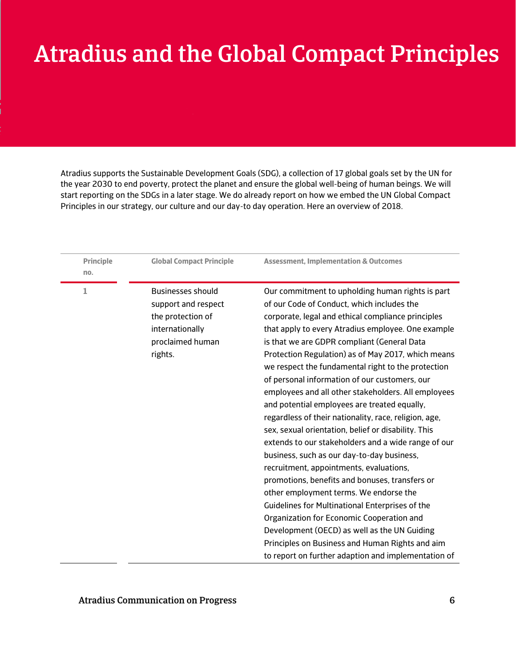## Atradius and the Global Compact Principles

Atradius supports the Sustainable Development Goals (SDG), a collection of 17 global goals set by the UN for the year 2030 to end poverty, protect the planet and ensure the global well-being of human beings. We will start reporting on the SDGs in a later stage. We do already report on how we embed the UN Global Compact Principles in our strategy, our culture and our day-to day operation. Here an overview of 2018.

| <b>Principle</b><br>no. | <b>Global Compact Principle</b>                                                                                        | <b>Assessment, Implementation &amp; Outcomes</b>                                                                                                                                                                                                                                                                                                                                                                                                                                                                                                                                                                                                                                                                                                                                                                                                                                                                                                                                                                                                                                                                                                    |
|-------------------------|------------------------------------------------------------------------------------------------------------------------|-----------------------------------------------------------------------------------------------------------------------------------------------------------------------------------------------------------------------------------------------------------------------------------------------------------------------------------------------------------------------------------------------------------------------------------------------------------------------------------------------------------------------------------------------------------------------------------------------------------------------------------------------------------------------------------------------------------------------------------------------------------------------------------------------------------------------------------------------------------------------------------------------------------------------------------------------------------------------------------------------------------------------------------------------------------------------------------------------------------------------------------------------------|
| 1                       | <b>Businesses should</b><br>support and respect<br>the protection of<br>internationally<br>proclaimed human<br>rights. | Our commitment to upholding human rights is part<br>of our Code of Conduct, which includes the<br>corporate, legal and ethical compliance principles<br>that apply to every Atradius employee. One example<br>is that we are GDPR compliant (General Data<br>Protection Regulation) as of May 2017, which means<br>we respect the fundamental right to the protection<br>of personal information of our customers, our<br>employees and all other stakeholders. All employees<br>and potential employees are treated equally,<br>regardless of their nationality, race, religion, age,<br>sex, sexual orientation, belief or disability. This<br>extends to our stakeholders and a wide range of our<br>business, such as our day-to-day business,<br>recruitment, appointments, evaluations,<br>promotions, benefits and bonuses, transfers or<br>other employment terms. We endorse the<br>Guidelines for Multinational Enterprises of the<br>Organization for Economic Cooperation and<br>Development (OECD) as well as the UN Guiding<br>Principles on Business and Human Rights and aim<br>to report on further adaption and implementation of |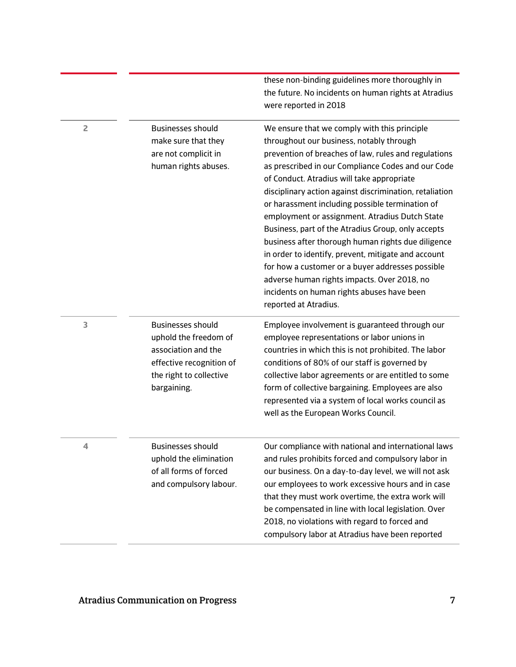|   |                                                                                                                                                | the future. No incidents on human rights at Atradius<br>were reported in 2018                                                                                                                                                                                                                                                                                                                                                                                                                                                                                                                                                                                                                                                                                     |
|---|------------------------------------------------------------------------------------------------------------------------------------------------|-------------------------------------------------------------------------------------------------------------------------------------------------------------------------------------------------------------------------------------------------------------------------------------------------------------------------------------------------------------------------------------------------------------------------------------------------------------------------------------------------------------------------------------------------------------------------------------------------------------------------------------------------------------------------------------------------------------------------------------------------------------------|
| 2 | <b>Businesses should</b><br>make sure that they<br>are not complicit in<br>human rights abuses.                                                | We ensure that we comply with this principle<br>throughout our business, notably through<br>prevention of breaches of law, rules and regulations<br>as prescribed in our Compliance Codes and our Code<br>of Conduct. Atradius will take appropriate<br>disciplinary action against discrimination, retaliation<br>or harassment including possible termination of<br>employment or assignment. Atradius Dutch State<br>Business, part of the Atradius Group, only accepts<br>business after thorough human rights due diligence<br>in order to identify, prevent, mitigate and account<br>for how a customer or a buyer addresses possible<br>adverse human rights impacts. Over 2018, no<br>incidents on human rights abuses have been<br>reported at Atradius. |
| 3 | <b>Businesses should</b><br>uphold the freedom of<br>association and the<br>effective recognition of<br>the right to collective<br>bargaining. | Employee involvement is guaranteed through our<br>employee representations or labor unions in<br>countries in which this is not prohibited. The labor<br>conditions of 80% of our staff is governed by<br>collective labor agreements or are entitled to some<br>form of collective bargaining. Employees are also<br>represented via a system of local works council as<br>well as the European Works Council.                                                                                                                                                                                                                                                                                                                                                   |
| 4 | <b>Businesses should</b><br>uphold the elimination<br>of all forms of forced<br>and compulsory labour.                                         | Our compliance with national and international laws<br>and rules prohibits forced and compulsory labor in<br>our business. On a day-to-day level, we will not ask<br>our employees to work excessive hours and in case<br>that they must work overtime, the extra work will<br>be compensated in line with local legislation. Over<br>2018, no violations with regard to forced and<br>compulsory labor at Atradius have been reported                                                                                                                                                                                                                                                                                                                            |

these non-binding guidelines more thoroughly in

### Atradius Communication on Progress 7

- -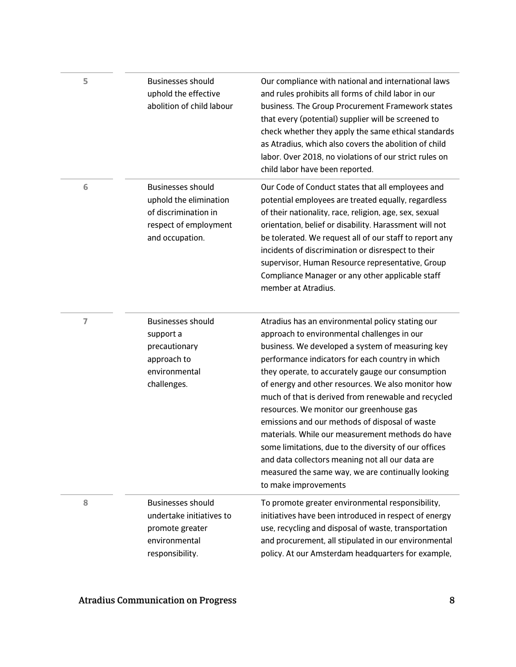| 5              | <b>Businesses should</b><br>uphold the effective<br>abolition of child labour                                          | Our compliance with national and international laws<br>and rules prohibits all forms of child labor in our<br>business. The Group Procurement Framework states<br>that every (potential) supplier will be screened to<br>check whether they apply the same ethical standards<br>as Atradius, which also covers the abolition of child<br>labor. Over 2018, no violations of our strict rules on<br>child labor have been reported.                                                                                                                                                                                                                                                                                    |
|----------------|------------------------------------------------------------------------------------------------------------------------|-----------------------------------------------------------------------------------------------------------------------------------------------------------------------------------------------------------------------------------------------------------------------------------------------------------------------------------------------------------------------------------------------------------------------------------------------------------------------------------------------------------------------------------------------------------------------------------------------------------------------------------------------------------------------------------------------------------------------|
| 6              | <b>Businesses should</b><br>uphold the elimination<br>of discrimination in<br>respect of employment<br>and occupation. | Our Code of Conduct states that all employees and<br>potential employees are treated equally, regardless<br>of their nationality, race, religion, age, sex, sexual<br>orientation, belief or disability. Harassment will not<br>be tolerated. We request all of our staff to report any<br>incidents of discrimination or disrespect to their<br>supervisor, Human Resource representative, Group<br>Compliance Manager or any other applicable staff<br>member at Atradius.                                                                                                                                                                                                                                          |
| $\overline{7}$ | <b>Businesses should</b><br>support a<br>precautionary<br>approach to<br>environmental<br>challenges.                  | Atradius has an environmental policy stating our<br>approach to environmental challenges in our<br>business. We developed a system of measuring key<br>performance indicators for each country in which<br>they operate, to accurately gauge our consumption<br>of energy and other resources. We also monitor how<br>much of that is derived from renewable and recycled<br>resources. We monitor our greenhouse gas<br>emissions and our methods of disposal of waste<br>materials. While our measurement methods do have<br>some limitations, due to the diversity of our offices<br>and data collectors meaning not all our data are<br>measured the same way, we are continually looking<br>to make improvements |
| 8              | <b>Businesses should</b><br>undertake initiatives to<br>promote greater<br>environmental<br>responsibility.            | To promote greater environmental responsibility,<br>initiatives have been introduced in respect of energy<br>use, recycling and disposal of waste, transportation<br>and procurement, all stipulated in our environmental<br>policy. At our Amsterdam headquarters for example,                                                                                                                                                                                                                                                                                                                                                                                                                                       |

 $\overline{\phantom{a}}$ 

 $\overline{\phantom{0}}$ 

 $\overline{\phantom{0}}$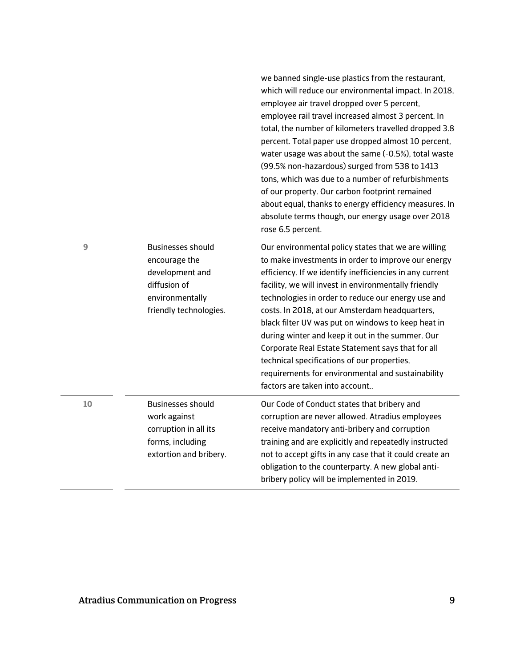|    |                                                                                                                    | we banned single-use plastics from the restaurant,<br>which will reduce our environmental impact. In 2018,<br>employee air travel dropped over 5 percent,<br>employee rail travel increased almost 3 percent. In<br>total, the number of kilometers travelled dropped 3.8<br>percent. Total paper use dropped almost 10 percent,<br>water usage was about the same (-0.5%), total waste<br>(99.5% non-hazardous) surged from 538 to 1413<br>tons, which was due to a number of refurbishments<br>of our property. Our carbon footprint remained<br>about equal, thanks to energy efficiency measures. In<br>absolute terms though, our energy usage over 2018<br>rose 6.5 percent. |
|----|--------------------------------------------------------------------------------------------------------------------|------------------------------------------------------------------------------------------------------------------------------------------------------------------------------------------------------------------------------------------------------------------------------------------------------------------------------------------------------------------------------------------------------------------------------------------------------------------------------------------------------------------------------------------------------------------------------------------------------------------------------------------------------------------------------------|
| 9  | Businesses should<br>encourage the<br>development and<br>diffusion of<br>environmentally<br>friendly technologies. | Our environmental policy states that we are willing<br>to make investments in order to improve our energy<br>efficiency. If we identify inefficiencies in any current<br>facility, we will invest in environmentally friendly<br>technologies in order to reduce our energy use and<br>costs. In 2018, at our Amsterdam headquarters,<br>black filter UV was put on windows to keep heat in<br>during winter and keep it out in the summer. Our<br>Corporate Real Estate Statement says that for all<br>technical specifications of our properties,<br>requirements for environmental and sustainability<br>factors are taken into account                                         |
| 10 | <b>Businesses should</b><br>work against<br>corruption in all its<br>forms, including<br>extortion and bribery.    | Our Code of Conduct states that bribery and<br>corruption are never allowed. Atradius employees<br>receive mandatory anti-bribery and corruption<br>training and are explicitly and repeatedly instructed<br>not to accept gifts in any case that it could create an<br>obligation to the counterparty. A new global anti-<br>bribery policy will be implemented in 2019.                                                                                                                                                                                                                                                                                                          |

 $\overline{\phantom{0}}$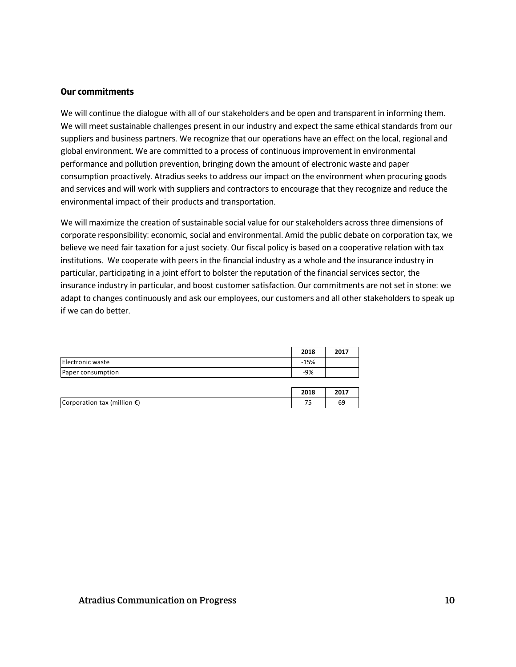#### **Our commitments**

We will continue the dialogue with all of our stakeholders and be open and transparent in informing them. We will meet sustainable challenges present in our industry and expect the same ethical standards from our suppliers and business partners. We recognize that our operations have an effect on the local, regional and global environment. We are committed to a process of continuous improvement in environmental performance and pollution prevention, bringing down the amount of electronic waste and paper consumption proactively. Atradius seeks to address our impact on the environment when procuring goods and services and will work with suppliers and contractors to encourage that they recognize and reduce the environmental impact of their products and transportation.

We will maximize the creation of sustainable social value for our stakeholders across three dimensions of corporate responsibility: economic, social and environmental. Amid the public debate on corporation tax, we believe we need fair taxation for a just society. Our fiscal policy is based on a cooperative relation with tax institutions. We cooperate with peers in the financial industry as a whole and the insurance industry in particular, participating in a joint effort to bolster the reputation of the financial services sector, the insurance industry in particular, and boost customer satisfaction. Our commitments are not set in stone: we adapt to changes continuously and ask our employees, our customers and all other stakeholders to speak up if we can do better.

|                   | 2018   | 2017 |
|-------------------|--------|------|
| Electronic waste  | $-15%$ |      |
| Paper consumption | $-9%$  |      |

|                                       | 2018    |  |
|---------------------------------------|---------|--|
| Corporation tax (million $\epsilon$ ) | --<br>. |  |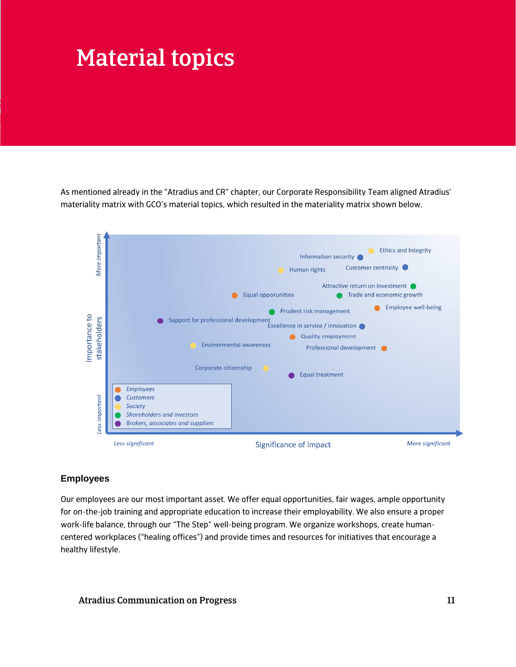## Material topics

As mentioned already in the "Atradius and CR" chapter, our Corporate Responsibility Team aligned Atradius' materiality matrix with GCO's material topics, which resulted in the materiality matrix shown below.



#### **Employees**

Our employees are our most important asset. We offer equal opportunities, fair wages, ample opportunity for on-the-job training and appropriate education to increase their employability. We also ensure a proper work-life balance, through our "The Step" well-being program. We organize workshops, create humancentered workplaces ("healing offices") and provide times and resources for initiatives that encourage a healthy lifestyle.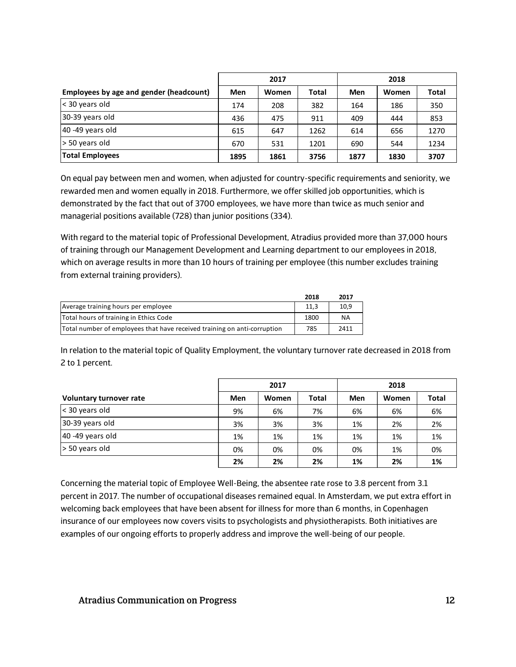|                                         | 2017 |       | 2018  |      |       |              |
|-----------------------------------------|------|-------|-------|------|-------|--------------|
| Employees by age and gender (headcount) | Men  | Women | Total | Men  | Women | <b>Total</b> |
| $\vert$ < 30 years old                  | 174  | 208   | 382   | 164  | 186   | 350          |
| 30-39 years old                         | 436  | 475   | 911   | 409  | 444   | 853          |
| $40 - 49$ years old                     | 615  | 647   | 1262  | 614  | 656   | 1270         |
| $\ge$ 50 years old                      | 670  | 531   | 1201  | 690  | 544   | 1234         |
| <b>Total Employees</b>                  | 1895 | 1861  | 3756  | 1877 | 1830  | 3707         |

On equal pay between men and women, when adjusted for country-specific requirements and seniority, we rewarded men and women equally in 2018. Furthermore, we offer skilled job opportunities, which is demonstrated by the fact that out of 3700 employees, we have more than twice as much senior and managerial positions available (728) than junior positions (334).

With regard to the material topic of Professional Development, Atradius provided more than 37,000 hours of training through our Management Development and Learning department to our employees in 2018, which on average results in more than 10 hours of training per employee (this number excludes training from external training providers).

|                                                                          | 2018 | 2017 |
|--------------------------------------------------------------------------|------|------|
| Average training hours per employee                                      | 11.3 | 10.9 |
| Total hours of training in Ethics Code                                   | 1800 | ΝA   |
| Total number of employees that have received training on anti-corruption | 785  | 2411 |

In relation to the material topic of Quality Employment, the voluntary turnover rate decreased in 2018 from 2 to 1 percent.

|                         |     | 2017         |              |     | 2018  |              |  |
|-------------------------|-----|--------------|--------------|-----|-------|--------------|--|
| Voluntary turnover rate | Men | <b>Women</b> | <b>Total</b> | Men | Women | <b>Total</b> |  |
| $<$ 30 years old        | 9%  | 6%           | 7%           | 6%  | 6%    | 6%           |  |
| 30-39 years old         | 3%  | 3%           | 3%           | 1%  | 2%    | 2%           |  |
| 40 -49 years old        | 1%  | 1%           | 1%           | 1%  | 1%    | 1%           |  |
| $\ge$ 50 years old      | 0%  | 0%           | 0%           | 0%  | 1%    | 0%           |  |
|                         | 2%  | 2%           | 2%           | 1%  | 2%    | 1%           |  |

Concerning the material topic of Employee Well-Being, the absentee rate rose to 3.8 percent from 3.1 percent in 2017. The number of occupational diseases remained equal. In Amsterdam, we put extra effort in welcoming back employees that have been absent for illness for more than 6 months, in Copenhagen insurance of our employees now covers visits to psychologists and physiotherapists. Both initiatives are examples of our ongoing efforts to properly address and improve the well-being of our people.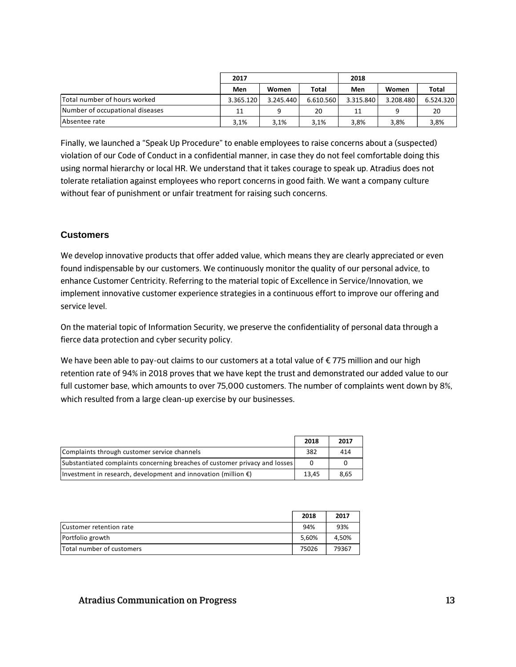|                                 | 2017      |           |              | 2018      |           |              |
|---------------------------------|-----------|-----------|--------------|-----------|-----------|--------------|
|                                 | Men       | Women     | <b>Total</b> | Men       | Women     | <b>Total</b> |
| Total number of hours worked    | 3.365.120 | 3.245.440 | 6.610.560    | 3.315.840 | 3.208.480 | 6.524.320    |
| Number of occupational diseases | 11        |           | 20           | 11        |           | 20           |
| Absentee rate                   | 3.1%      | 3,1%      | 3,1%         | 3,8%      | 3.8%      | 3,8%         |

Finally, we launched a "Speak Up Procedure" to enable employees to raise concerns about a (suspected) violation of our Code of Conduct in a confidential manner, in case they do not feel comfortable doing this using normal hierarchy or local HR. We understand that it takes courage to speak up. Atradius does not tolerate retaliation against employees who report concerns in good faith. We want a company culture without fear of punishment or unfair treatment for raising such concerns.

#### **Customers**

We develop innovative products that offer added value, which means they are clearly appreciated or even found indispensable by our customers. We continuously monitor the quality of our personal advice, to enhance Customer Centricity. Referring to the material topic of Excellence in Service/Innovation, we implement innovative customer experience strategies in a continuous effort to improve our offering and service level.

On the material topic of Information Security, we preserve the confidentiality of personal data through a fierce data protection and cyber security policy.

We have been able to pay-out claims to our customers at a total value of €775 million and our high retention rate of 94% in 2018 proves that we have kept the trust and demonstrated our added value to our full customer base, which amounts to over 75,000 customers. The number of complaints went down by 8%, which resulted from a large clean-up exercise by our businesses.

|                                                                             | 2018  | 2017 |
|-----------------------------------------------------------------------------|-------|------|
| Complaints through customer service channels                                | 382   | 414  |
| Substantiated complaints concerning breaches of customer privacy and losses |       | 0    |
| Investment in research, development and innovation (million $\epsilon$ )    | 13.45 | 8,65 |

|                                  | 2018  | 2017  |
|----------------------------------|-------|-------|
| Customer retention rate          | 94%   | 93%   |
| Portfolio growth                 | 5.60% | 4.50% |
| <b>Total number of customers</b> | 75026 | 79367 |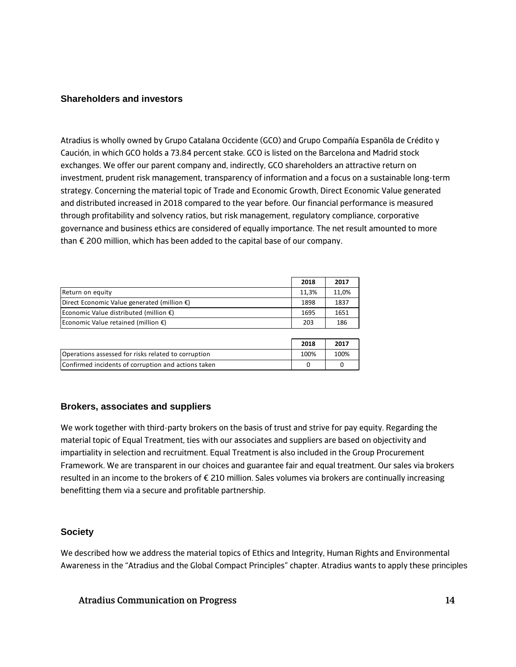#### **Shareholders and investors**

Atradius is wholly owned by Grupo Catalana Occidente (GCO) and Grupo Compañía Espanõla de Crédito y Caución, in which GCO holds a 73.84 percent stake. GCO is listed on the Barcelona and Madrid stock exchanges. We offer our parent company and, indirectly, GCO shareholders an attractive return on investment, prudent risk management, transparency of information and a focus on a sustainable long-term strategy. Concerning the material topic of Trade and Economic Growth, Direct Economic Value generated and distributed increased in 2018 compared to the year before. Our financial performance is measured through profitability and solvency ratios, but risk management, regulatory compliance, corporative governance and business ethics are considered of equally importance. The net result amounted to more than € 200 million, which has been added to the capital base of our company.

|                                                       | 2018  | 2017  |
|-------------------------------------------------------|-------|-------|
| Return on equity                                      | 11.3% | 11,0% |
| Direct Economic Value generated (million $\epsilon$ ) | 1898  | 1837  |
| Economic Value distributed (million $\epsilon$ )      | 1695  | 1651  |
| Economic Value retained (million $\epsilon$ )         | 203   | 186   |

|                                                     | 2018 | 2017 |
|-----------------------------------------------------|------|------|
| Operations assessed for risks related to corruption | 100% | 100% |
| Confirmed incidents of corruption and actions taken |      |      |

#### **Brokers, associates and suppliers**

We work together with third-party brokers on the basis of trust and strive for pay equity. Regarding the material topic of Equal Treatment, ties with our associates and suppliers are based on objectivity and impartiality in selection and recruitment. Equal Treatment is also included in the Group Procurement Framework. We are transparent in our choices and guarantee fair and equal treatment. Our sales via brokers resulted in an income to the brokers of € 210 million. Sales volumes via brokers are continually increasing benefitting them via a secure and profitable partnership.

#### **Society**

We described how we address the material topics of Ethics and Integrity, Human Rights and Environmental Awareness in the "Atradius and the Global Compact Principles" chapter. Atradius wants to apply these principles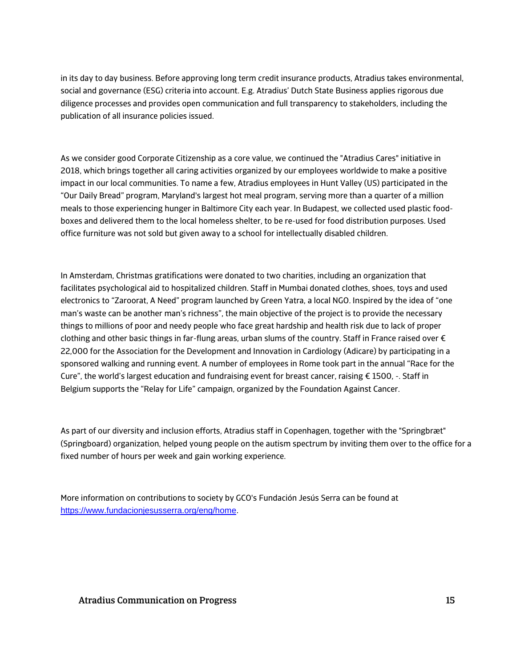in its day to day business. Before approving long term credit insurance products, Atradius takes environmental, social and governance (ESG) criteria into account. E.g. Atradius' Dutch State Business applies rigorous due diligence processes and provides open communication and full transparency to stakeholders, including the publication of all insurance policies issued.

As we consider good Corporate Citizenship as a core value, we continued the "Atradius Cares" initiative in 2018, which brings together all caring activities organized by our employees worldwide to make a positive impact in our local communities. To name a few, Atradius employees in Hunt Valley (US) participated in the "Our Daily Bread" program, Maryland's largest hot meal program, serving more than a quarter of a million meals to those experiencing hunger in Baltimore City each year. In Budapest, we collected used plastic foodboxes and delivered them to the local homeless shelter, to be re-used for food distribution purposes. Used office furniture was not sold but given away to a school for intellectually disabled children.

In Amsterdam, Christmas gratifications were donated to two charities, including an organization that facilitates psychological aid to hospitalized children. Staff in Mumbai donated clothes, shoes, toys and used electronics to "Zaroorat, A Need" program launched by Green Yatra, a local NGO. Inspired by the idea of "one man's waste can be another man's richness", the main objective of the project is to provide the necessary things to millions of poor and needy people who face great hardship and health risk due to lack of proper clothing and other basic things in far-flung areas, urban slums of the country. Staff in France raised over € 22,000 for the Association for the Development and Innovation in Cardiology (Adicare) by participating in a sponsored walking and running event. A number of employees in Rome took part in the annual "Race for the Cure", the world's largest education and fundraising event for breast cancer, raising  $\epsilon$  1500, -. Staff in Belgium supports the "Relay for Life" campaign, organized by the Foundation Against Cancer.

As part of our diversity and inclusion efforts, Atradius staff in Copenhagen, together with the "Springbræt" (Springboard) organization, helped young people on the autism spectrum by inviting them over to the office for a fixed number of hours per week and gain working experience.

More information on contributions to society by GCO's Fundación Jesús Serra can be found at https://www.fundacionjesusserra.org/eng/home.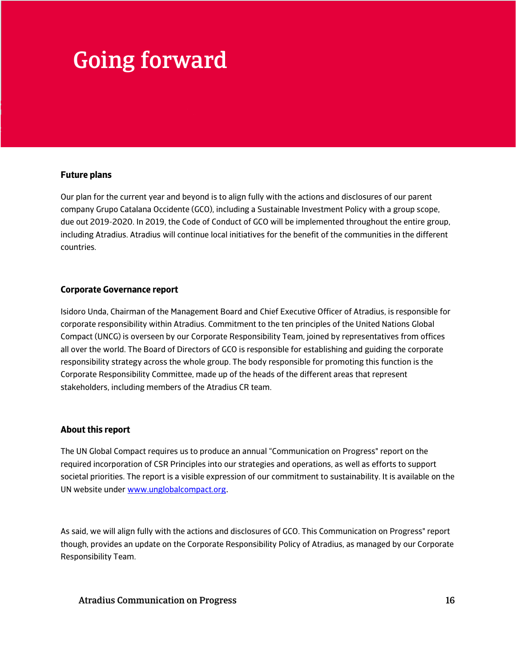## Going forward

#### **Future plans**

Our plan for the current year and beyond is to align fully with the actions and disclosures of our parent company Grupo Catalana Occidente (GCO), including a Sustainable Investment Policy with a group scope, due out 2019-2020. In 2019, the Code of Conduct of GCO will be implemented throughout the entire group, including Atradius. Atradius will continue local initiatives for the benefit of the communities in the different countries.

#### **Corporate Governance report**

Isidoro Unda, Chairman of the Management Board and Chief Executive Officer of Atradius, is responsible for corporate responsibility within Atradius. Commitment to the ten principles of the United Nations Global Compact (UNCG) is overseen by our Corporate Responsibility Team, joined by representatives from offices all over the world. The Board of Directors of GCO is responsible for establishing and guiding the corporate responsibility strategy across the whole group. The body responsible for promoting this function is the Corporate Responsibility Committee, made up of the heads of the different areas that represent stakeholders, including members of the Atradius CR team.

#### **About this report**

The UN Global Compact requires us to produce an annual "Communication on Progress" report on the required incorporation of CSR Principles into our strategies and operations, as well as efforts to support societal priorities. The report is a visible expression of our commitment to sustainability. It is available on the UN website under www.unglobalcompact.org.

As said, we will align fully with the actions and disclosures of GCO. This Communication on Progress" report though, provides an update on the Corporate Responsibility Policy of Atradius, as managed by our Corporate Responsibility Team.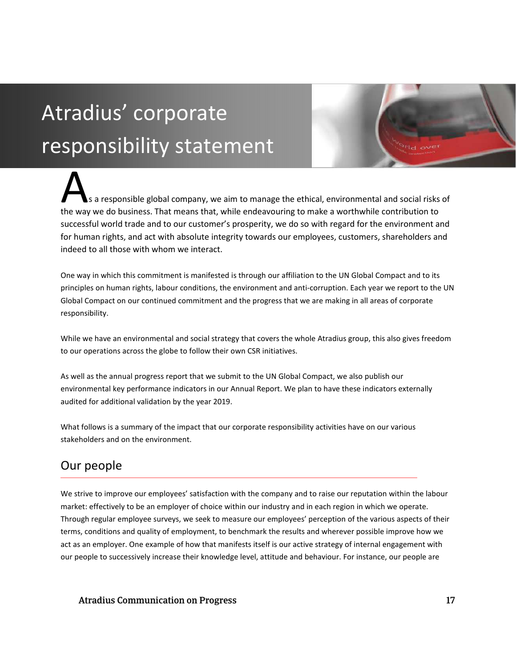# Atradius' corporate responsibility statement

s a responsible global company, we aim to manage the ethical, environmental and social risks of the way we do business. That means that, while endeavouring to make a worthwhile contribution to the way we do business. That means that, while endeavouring to make a worthwhile contribution to successful world trade and to our customer's prosperity, we do so with regard for the environment and for human rights, and act with absolute integrity towards our employees, customers, shareholders and indeed to all those with whom we interact.

One way in which this commitment is manifested is through our affiliation to the UN Global Compact and to its principles on human rights, labour conditions, the environment and anti-corruption. Each year we report to the UN Global Compact on our continued commitment and the progress that we are making in all areas of corporate responsibility.

While we have an environmental and social strategy that covers the whole Atradius group, this also gives freedom to our operations across the globe to follow their own CSR initiatives.

As well as the annual progress report that we submit to the UN Global Compact, we also publish our environmental key performance indicators in our Annual Report. We plan to have these indicators externally audited for additional validation by the year 2019.

What follows is a summary of the impact that our corporate responsibility activities have on our various stakeholders and on the environment.

### Our people

We strive to improve our employees' satisfaction with the company and to raise our reputation within the labour market: effectively to be an employer of choice within our industry and in each region in which we operate. Through regular employee surveys, we seek to measure our employees' perception of the various aspects of their terms, conditions and quality of employment, to benchmark the results and wherever possible improve how we act as an employer. One example of how that manifests itself is our active strategy of internal engagement with our people to successively increase their knowledge level, attitude and behaviour. For instance, our people are

Atradius Communication on Progress 17 and 2008 17 and 2008 17 and 2012 17 and 2012 17 and 2012 17 and 2013 17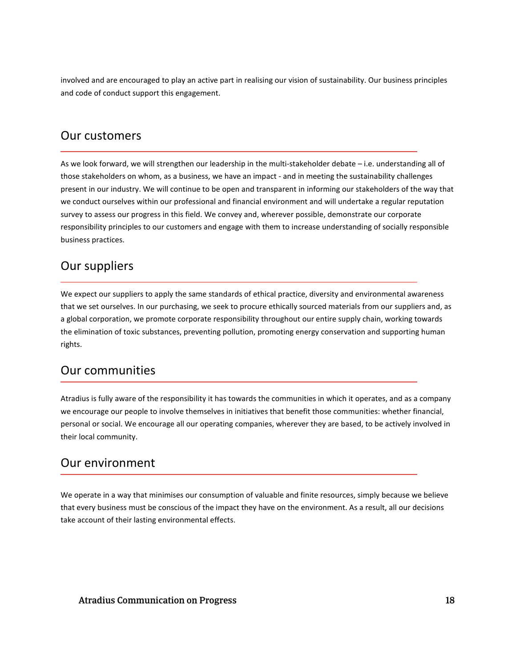involved and are encouraged to play an active part in realising our vision of sustainability. Our business principles and code of conduct support this engagement.

### Our customers

As we look forward, we will strengthen our leadership in the multi-stakeholder debate – i.e. understanding all of those stakeholders on whom, as a business, we have an impact - and in meeting the sustainability challenges present in our industry. We will continue to be open and transparent in informing our stakeholders of the way that we conduct ourselves within our professional and financial environment and will undertake a regular reputation survey to assess our progress in this field. We convey and, wherever possible, demonstrate our corporate responsibility principles to our customers and engage with them to increase understanding of socially responsible business practices.

### Our suppliers

We expect our suppliers to apply the same standards of ethical practice, diversity and environmental awareness that we set ourselves. In our purchasing, we seek to procure ethically sourced materials from our suppliers and, as a global corporation, we promote corporate responsibility throughout our entire supply chain, working towards the elimination of toxic substances, preventing pollution, promoting energy conservation and supporting human rights.

### Our communities

Atradius is fully aware of the responsibility it has towards the communities in which it operates, and as a company we encourage our people to involve themselves in initiatives that benefit those communities: whether financial, personal or social. We encourage all our operating companies, wherever they are based, to be actively involved in their local community.

### Our environment

We operate in a way that minimises our consumption of valuable and finite resources, simply because we believe that every business must be conscious of the impact they have on the environment. As a result, all our decisions take account of their lasting environmental effects.